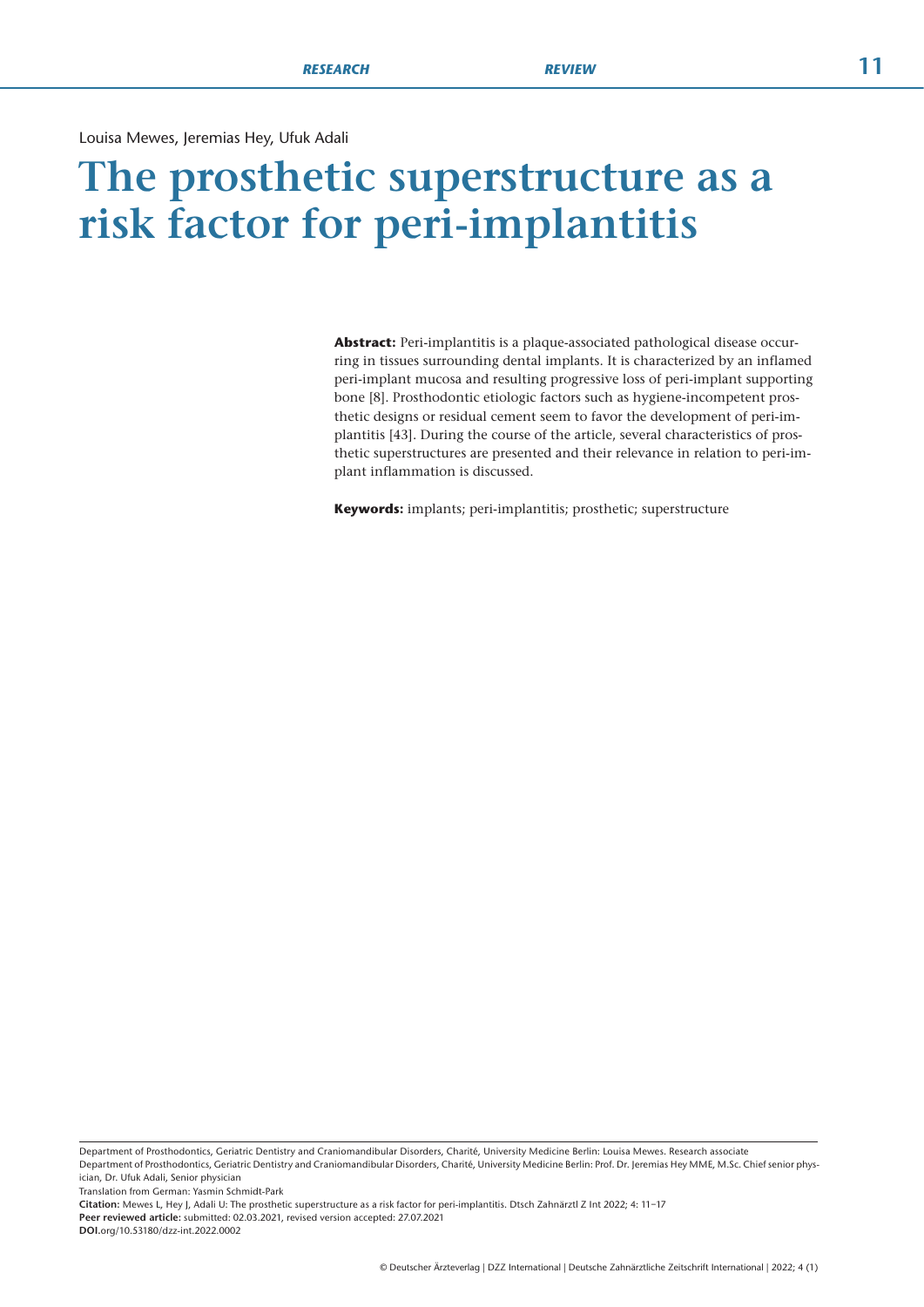Louisa Mewes, Jeremias Hey, Ufuk Adali

# **The prosthetic superstructure as a risk factor for peri-implantitis**

**Abstract:** Peri-implantitis is a plaque-associated pathological disease occurring in tissues surrounding dental implants. It is characterized by an inflamed peri-implant mucosa and resulting progressive loss of peri-implant supporting bone [8]. Prosthodontic etiologic factors such as hygiene-incompetent prosthetic designs or residual cement seem to favor the development of peri-implantitis [43]. During the course of the article, several characteristics of prosthetic superstructures are presented and their relevance in relation to peri-implant inflammation is discussed.

**Keywords:** implants; peri-implantitis; prosthetic; superstructure

Department of Prosthodontics, Geriatric Dentistry and Craniomandibular Disorders, Charité, University Medicine Berlin: Louisa Mewes. Research associate Department of Prosthodontics, Geriatric Dentistry and Craniomandibular Disorders, Charité, University Medicine Berlin: Prof. Dr. Jeremias Hey MME, M.Sc. Chief senior phys-

ician, Dr. Ufuk Adali, Senior physician

Translation from German: Yasmin Schmidt-Park

**Citation:** Mewes L, Hey J, Adali U: The prosthetic superstructure as a risk factor for peri-implantitis. Dtsch Zahnärztl Z Int 2022; 4: 11–17 **Peer reviewed article:** submitted: 02.03.2021, revised version accepted: 27.07.2021 **DOI.**org/10.53180/dzz-int.2022.0002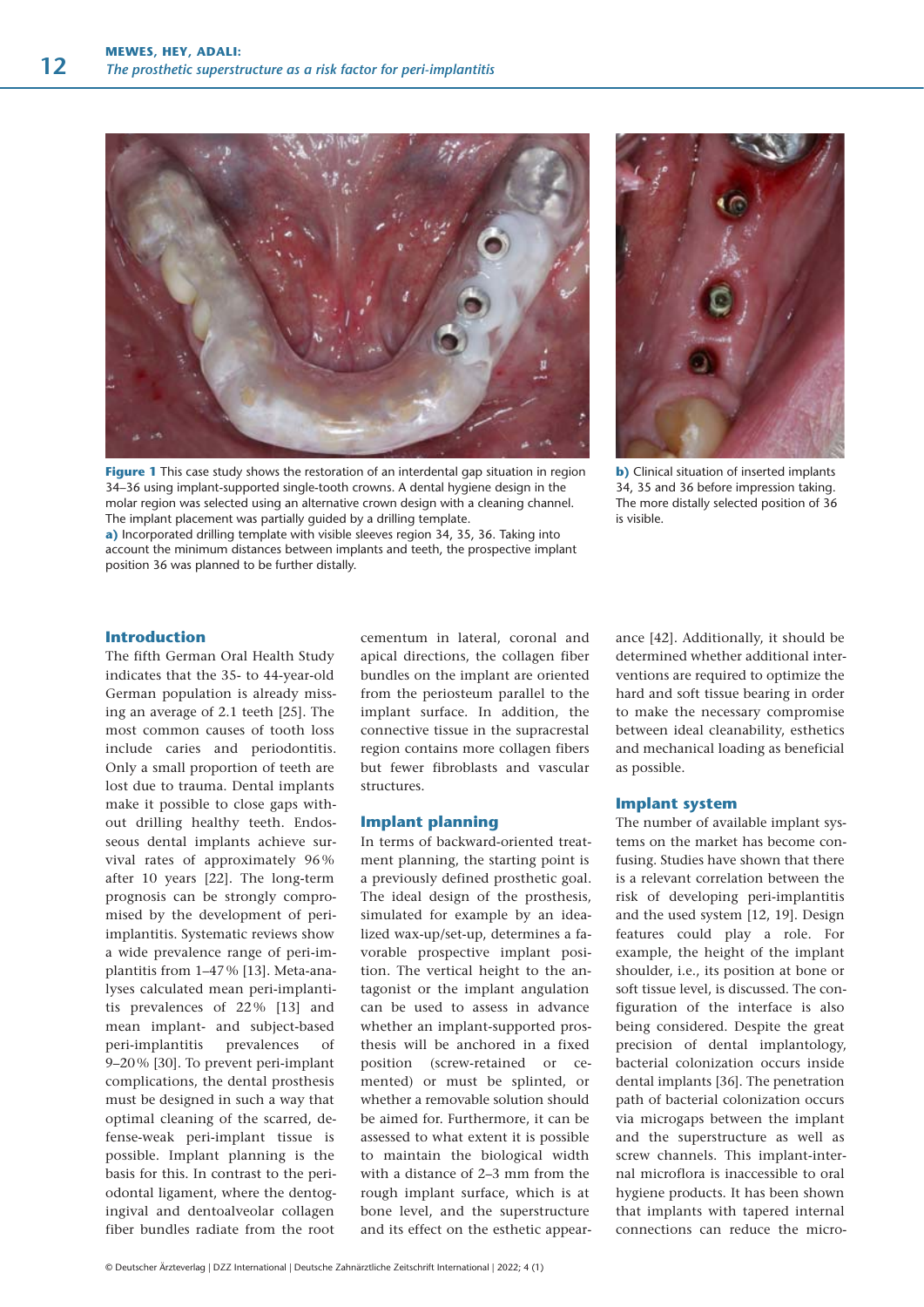

**Figure 1** This case study shows the restoration of an interdental gap situation in region 34–36 using implant-supported single-tooth crowns. A dental hygiene design in the molar region was selected using an alternative crown design with a cleaning channel. The implant placement was partially guided by a drilling template.

**a)** Incorporated drilling template with visible sleeves region 34, 35, 36. Taking into account the minimum distances between implants and teeth, the prospective implant position 36 was planned to be further distally.



**b)** Clinical situation of inserted implants 34, 35 and 36 before impression taking. The more distally selected position of 36 is visible.

## **Introduction**

The fifth German Oral Health Study indicates that the 35- to 44-year-old German population is already missing an average of 2.1 teeth [25]. The most common causes of tooth loss include caries and periodontitis. Only a small proportion of teeth are lost due to trauma. Dental implants make it possible to close gaps without drilling healthy teeth. Endosseous dental implants achieve survival rates of approximately 96 % after 10 years [22]. The long-term prognosis can be strongly compromised by the development of periimplantitis. Systematic reviews show a wide prevalence range of peri-implantitis from 1–47 % [13]. Meta-analyses calculated mean peri-implantitis prevalences of 22 % [13] and mean implant- and subject-based peri-implantitis prevalences of 9–20 % [30]. To prevent peri-implant complications, the dental prosthesis must be designed in such a way that optimal cleaning of the scarred, defense-weak peri-implant tissue is possible. Implant planning is the basis for this. In contrast to the periodontal ligament, where the dentogingival and dentoalveolar collagen fiber bundles radiate from the root

cementum in lateral, coronal and apical directions, the collagen fiber bundles on the implant are oriented from the periosteum parallel to the implant surface. In addition, the connective tissue in the supracrestal region contains more collagen fibers but fewer fibroblasts and vascular structures.

### **Implant planning**

In terms of backward-oriented treatment planning, the starting point is a previously defined prosthetic goal. The ideal design of the prosthesis, simulated for example by an idealized wax-up/set-up, determines a favorable prospective implant position. The vertical height to the antagonist or the implant angulation can be used to assess in advance whether an implant-supported prosthesis will be anchored in a fixed position (screw-retained or cemented) or must be splinted, or whether a removable solution should be aimed for. Furthermore, it can be assessed to what extent it is possible to maintain the biological width with a distance of 2–3 mm from the rough implant surface, which is at bone level, and the superstructure and its effect on the esthetic appearance [42]. Additionally, it should be determined whether additional interventions are required to optimize the hard and soft tissue bearing in order to make the necessary compromise between ideal cleanability, esthetics and mechanical loading as beneficial as possible.

### **Implant system**

The number of available implant systems on the market has become confusing. Studies have shown that there is a relevant correlation between the risk of developing peri-implantitis and the used system [12, 19]. Design features could play a role. For example, the height of the implant shoulder, i.e., its position at bone or soft tissue level, is discussed. The configuration of the interface is also being considered. Despite the great precision of dental implantology, bacterial colonization occurs inside dental implants [36]. The penetration path of bacterial colonization occurs via microgaps between the implant and the superstructure as well as screw channels. This implant-internal microflora is inaccessible to oral hygiene products. It has been shown that implants with tapered internal connections can reduce the micro-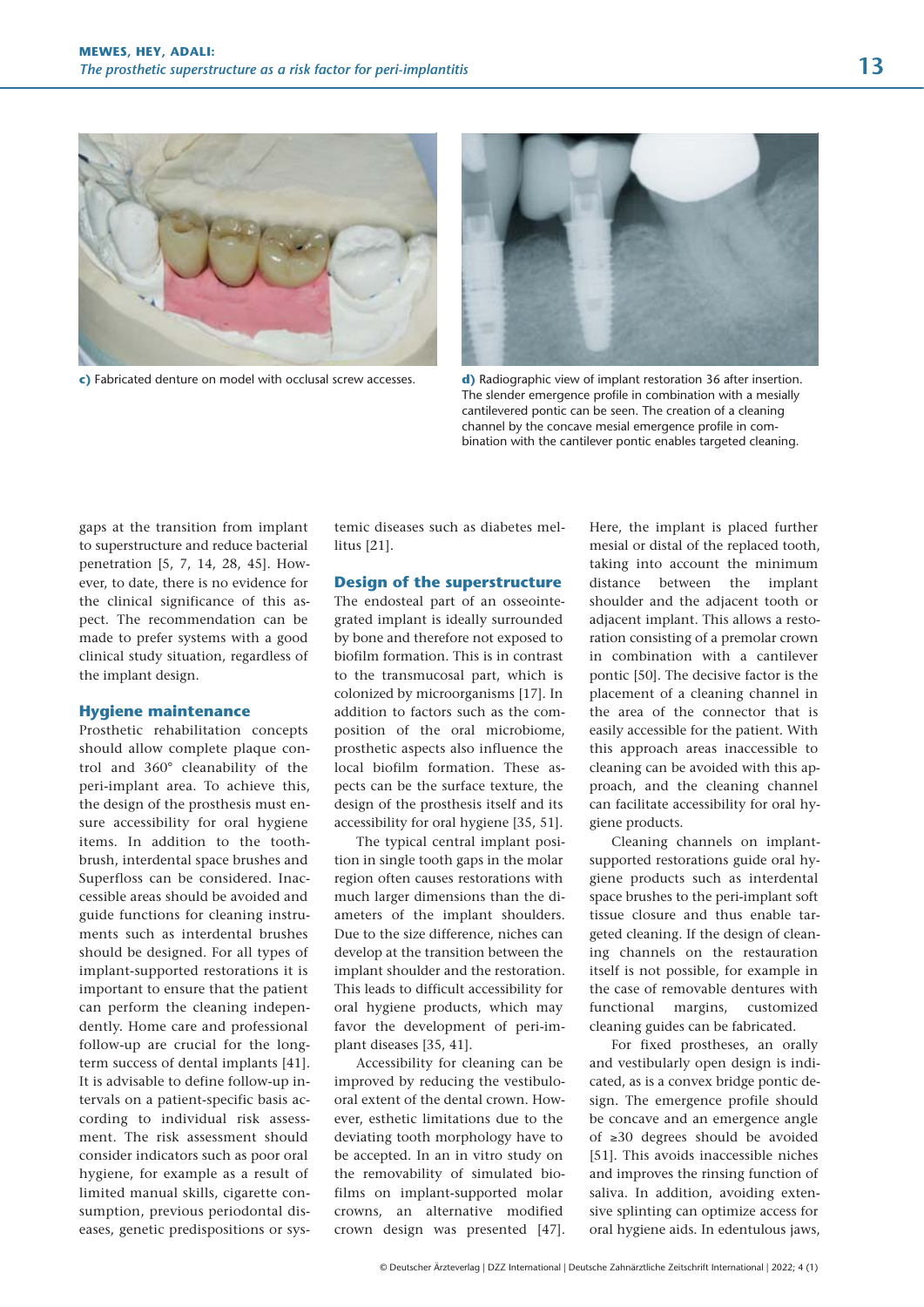

**c)** Fabricated denture on model with occlusal screw accesses. **d)** Radiographic view of implant restoration 36 after insertion.



The slender emergence profile in combination with a mesially cantilevered pontic can be seen. The creation of a cleaning channel by the concave mesial emergence profile in combination with the cantilever pontic enables targeted cleaning.

gaps at the transition from implant to superstructure and reduce bacterial penetration [5, 7, 14, 28, 45]. However, to date, there is no evidence for the clinical significance of this aspect. The recommendation can be made to prefer systems with a good clinical study situation, regardless of the implant design.

#### **Hygiene maintenance**

Prosthetic rehabilitation concepts should allow complete plaque control and 360° cleanability of the peri-implant area. To achieve this, the design of the prosthesis must ensure accessibility for oral hygiene items. In addition to the toothbrush, interdental space brushes and Superfloss can be considered. Inaccessible areas should be avoided and guide functions for cleaning instruments such as interdental brushes should be designed. For all types of implant-supported restorations it is important to ensure that the patient can perform the cleaning independently. Home care and professional follow-up are crucial for the longterm success of dental implants [41]. It is advisable to define follow-up intervals on a patient-specific basis according to individual risk assessment. The risk assessment should consider indicators such as poor oral hygiene, for example as a result of lim ited manual skills, cigarette consumption, previous periodontal diseases, genetic predispositions or systemic diseases such as diabetes mellitus [21].

### **Design of the superstructure**

The endosteal part of an osseointegrated implant is ideally surrounded by bone and therefore not exposed to biofilm formation. This is in contrast to the transmucosal part, which is colonized by microorganisms [17]. In addition to factors such as the composition of the oral microbiome, prosthetic aspects also influence the local biofilm formation. These aspects can be the surface texture, the design of the prosthesis itself and its accessibility for oral hygiene [35, 51].

The typical central implant position in single tooth gaps in the molar region often causes restorations with much larger dimensions than the diameters of the implant shoulders. Due to the size difference, niches can develop at the transition between the implant shoulder and the restoration. This leads to difficult accessibility for oral hygiene products, which may favor the development of peri-implant diseases [35, 41].

Accessibility for cleaning can be improved by reducing the vestibulooral extent of the dental crown. However, esthetic limitations due to the deviating tooth morphology have to be accepted. In an in vitro study on the removability of simulated biofilms on implant-supported molar crowns, an alternative modified crown design was presented [47]. Here, the implant is placed further mesial or distal of the replaced tooth, taking into account the minimum distance between the implant shoulder and the adjacent tooth or adjacent implant. This allows a restoration consisting of a premolar crown in combination with a cantilever pontic [50]. The decisive factor is the placement of a cleaning channel in the area of the connector that is easily accessible for the patient. With this approach areas inaccessible to cleaning can be avoided with this approach, and the cleaning channel can facilitate accessibility for oral hygiene products.

Cleaning channels on implantsupported restorations guide oral hygiene products such as interdental space brushes to the peri-implant soft tissue closure and thus enable targeted cleaning. If the design of cleaning channels on the restauration itself is not possible, for example in the case of removable dentures with functional margins, customized cleaning guides can be fabricated.

For fixed prostheses, an orally and vestibularly open design is indicated, as is a convex bridge pontic design. The emergence profile should be concave and an emergence angle of ≥30 degrees should be avoided [51]. This avoids inaccessible niches and improves the rinsing function of saliva. In addition, avoiding extensive splinting can optimize access for oral hygiene aids. In edentulous jaws,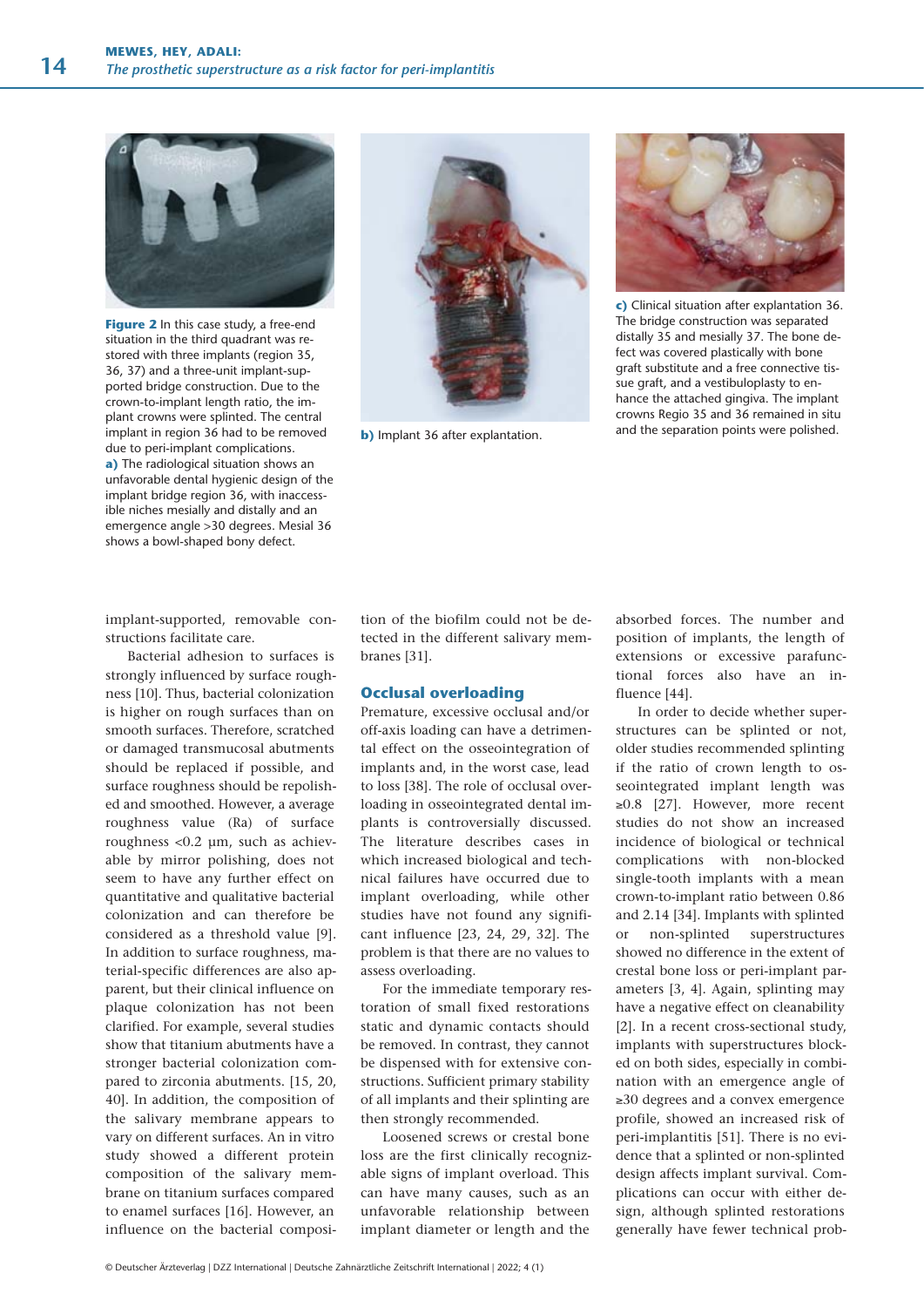

**Figure 2** In this case study, a free-end situation in the third quadrant was restored with three implants (region 35, 36, 37) and a three-unit implant-supported bridge construction. Due to the crown-to-implant length ratio, the implant crowns were splinted. The central implant in region 36 had to be removed due to peri-implant complications. **a)** The radiological situation shows an unfavorable dental hygienic design of the implant bridge region 36, with inaccessible niches mesially and distally and an emergence angle >30 degrees. Mesial 36 shows a bowl-shaped bony defect.

implant-supported, removable constructions facilitate care.

Bacterial adhesion to surfaces is strongly influenced by surface roughness [10]. Thus, bacterial colonization is higher on rough surfaces than on smooth surfaces. Therefore, scratched or damaged transmucosal abutments should be replaced if possible, and surface roughness should be repolished and smoothed. However, a average roughness value (Ra) of surface roughness <0.2 μm, such as achievable by mirror polishing, does not seem to have any further effect on quantitative and qualitative bacterial colonization and can therefore be considered as a threshold value [9]. In addition to surface roughness, material-specific differences are also apparent, but their clinical influence on plaque colonization has not been clarified. For example, several studies show that titanium abutments have a stronger bacterial colonization compared to zirconia abutments. [15, 20, 40]. In addition, the composition of the salivary membrane appears to vary on different surfaces. An in vitro study showed a different protein composition of the salivary membrane on titanium surfaces compared to enamel surfaces [16]. However, an influence on the bacterial composi-



**b**) Implant 36 after explantation.



**c)** Clinical situation after explantation 36. The bridge construction was separated distally 35 and mesially 37. The bone defect was covered plastically with bone graft substitute and a free connective tissue graft, and a vestibuloplasty to enhance the attached gingiva. The implant crowns Regio 35 and 36 remained in situ and the separation points were polished.

tion of the biofilm could not be detected in the different salivary membranes [31].

## **Occlusal overloading**

Premature, excessive occlusal and/or off-axis loading can have a detrimental effect on the osseointegration of implants and, in the worst case, lead to loss [38]. The role of occlusal overloading in osseointegrated dental implants is controversially discussed. The literature describes cases in which increased biological and technical failures have occurred due to implant overloading, while other studies have not found any significant influence [23, 24, 29, 32]. The problem is that there are no values to assess overloading.

For the immediate temporary restoration of small fixed restorations static and dynamic contacts should be removed. In contrast, they cannot be dispensed with for extensive constructions. Sufficient primary stability of all implants and their splinting are then strongly recommended.

Loosened screws or crestal bone loss are the first clinically recognizable signs of implant overload. This can have many causes, such as an unfavorable relationship between implant diameter or length and the

absorbed forces. The number and position of implants, the length of extensions or excessive parafunctional forces also have an influence [44].

In order to decide whether superstructures can be splinted or not, older studies recommended splinting if the ratio of crown length to osseointegrated implant length was ≥0.8 [27]. However, more recent studies do not show an increased incidence of biological or technical complications with non-blocked single-tooth implants with a mean crown-to-implant ratio between 0.86 and 2.14 [34]. Implants with splinted or non-splinted superstructures showed no difference in the extent of crestal bone loss or peri-implant parameters [3, 4]. Again, splinting may have a negative effect on cleanability [2]. In a recent cross-sectional study, implants with superstructures blocked on both sides, especially in combination with an emergence angle of ≥30 degrees and a convex emergence profile, showed an increased risk of peri-implantitis [51]. There is no evidence that a splinted or non-splinted design affects implant survival. Complications can occur with either design, although splinted restorations generally have fewer technical prob-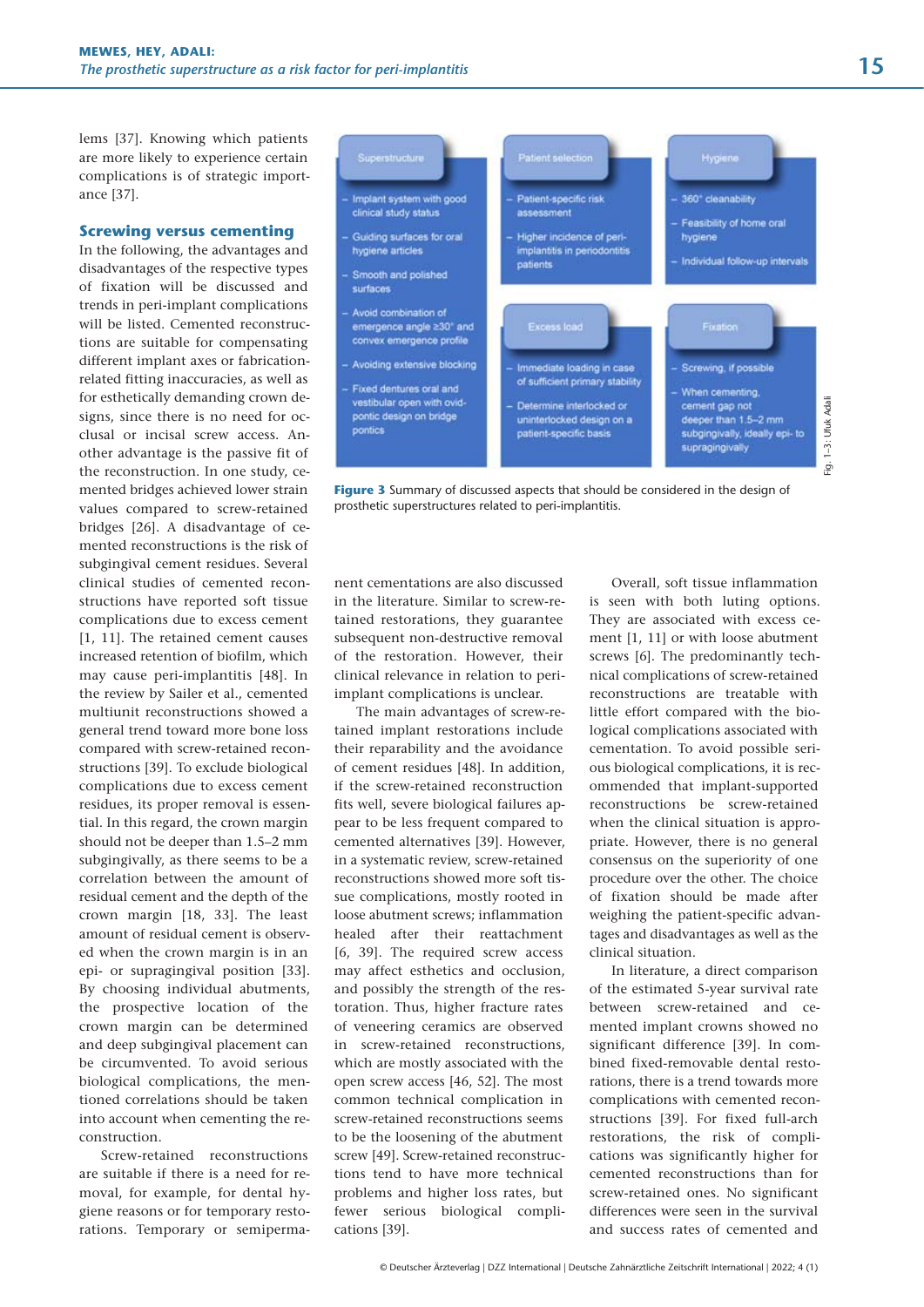lems [37]. Knowing which patients are more likely to experience certain complications is of strategic importance [37].

## **Screwing versus cementing**

In the following, the advantages and disadvantages of the respective types of fixation will be discussed and trends in peri-implant complications will be listed. Cemented reconstructions are suitable for compensating different implant axes or fabricationrelated fitting inaccuracies, as well as for esthetically demanding crown designs, since there is no need for occlusal or incisal screw access. Another advantage is the passive fit of the reconstruction. In one study, cemented bridges achieved lower strain values compared to screw-retained bridges [26]. A disadvantage of cemented reconstructions is the risk of subgingival cement residues. Several clinical studies of cemented reconstructions have reported soft tissue complications due to excess cement [1, 11]. The retained cement causes increased retention of biofilm, which may cause peri-implantitis [48]. In the review by Sailer et al., cemented multiunit reconstructions showed a general trend toward more bone loss compared with screw-retained reconstructions [39]. To exclude biological complications due to excess cement residues, its proper removal is essential. In this regard, the crown margin should not be deeper than 1.5–2 mm subgingivally, as there seems to be a correlation between the amount of residual cement and the depth of the crown margin [18, 33]. The least amount of residual cement is observed when the crown margin is in an epi- or supragingival position [33]. By choosing individual abutments, the prospective location of the crown margin can be determined and deep subgingival placement can be circumvented. To avoid serious biological complications, the mentioned correlations should be taken into account when cementing the reconstruction.

Screw-retained reconstructions are suitable if there is a need for removal, for example, for dental hygiene reasons or for temporary restorations. Temporary or semiperma-



**Figure 3** Summary of discussed aspects that should be considered in the design of prosthetic superstructures related to peri-implantitis.

nent cementations are also discussed in the literature. Similar to screw-retained restorations, they guarantee subsequent non-destructive removal of the restoration. However, their clinical relevance in relation to periimplant complications is unclear.

The main advantages of screw-retained implant restorations include their reparability and the avoidance of cement residues [48]. In addition, if the screw-retained reconstruction fits well, severe biological failures appear to be less frequent compared to cemented alternatives [39]. However, in a systematic review, screw-retained reconstructions showed more soft tissue complications, mostly rooted in loose abutment screws; inflammation healed after their reattachment [6, 39]. The required screw access may affect esthetics and occlusion, and possibly the strength of the restoration. Thus, higher fracture rates of veneering ceramics are observed in screw-retained reconstructions, which are mostly associated with the open screw access [46, 52]. The most common technical complication in screw-retained reconstructions seems to be the loosening of the abutment screw [49]. Screw-retained reconstructions tend to have more technical problems and higher loss rates, but fewer serious biological complications [39].

Overall, soft tissue inflammation is seen with both luting options. They are associated with excess cement [1, 11] or with loose abutment screws [6]. The predominantly technical complications of screw-retained reconstructions are treatable with little effort compared with the biological complications associated with cementation. To avoid possible serious biological complications, it is recommended that implant-supported reconstructions be screw-retained when the clinical situation is appropriate. However, there is no general consensus on the superiority of one procedure over the other. The choice of fixation should be made after weighing the patient-specific advantages and disadvantages as well as the clinical situation.

In literature, a direct comparison of the estimated 5-year survival rate between screw-retained and cemented implant crowns showed no significant difference [39]. In combined fixed-removable dental restorations, there is a trend towards more complications with cemented reconstructions [39]. For fixed full-arch restorations, the risk of complications was significantly higher for cemented reconstructions than for screw-retained ones. No significant differences were seen in the survival and success rates of cemented and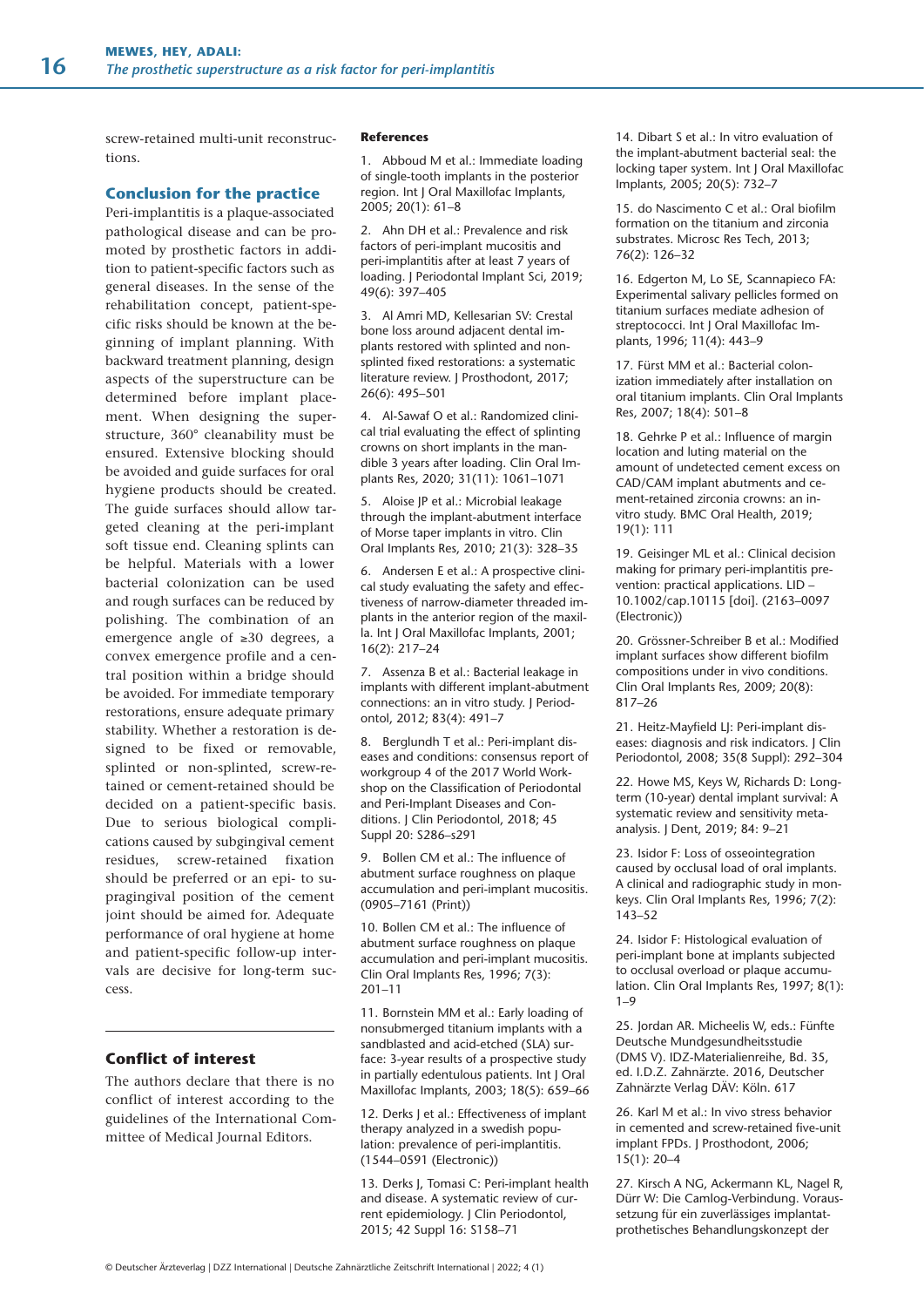screw-retained multi-unit reconstructions.

## **Conclusion for the practice**

Peri-implantitis is a plaque-associated pathological disease and can be promoted by prosthetic factors in addition to patient-specific factors such as general diseases. In the sense of the rehabilitation concept, patient-specific risks should be known at the beginning of implant planning. With backward treatment planning, design aspects of the superstructure can be determined before implant placement. When designing the superstructure, 360° cleanability must be ensured. Extensive blocking should be avoided and guide surfaces for oral hygiene products should be created. The guide surfaces should allow targeted cleaning at the peri-implant soft tissue end. Cleaning splints can be helpful. Materials with a lower bacterial colonization can be used and rough surfaces can be reduced by polishing. The combination of an emergence angle of ≥30 degrees, a convex emergence profile and a central position within a bridge should be avoided. For immediate temporary restorations, ensure adequate primary stability. Whether a restoration is designed to be fixed or removable, splinted or non-splinted, screw-retained or cement-retained should be decided on a patient-specific basis. Due to serious biological complications caused by subgingival cement residues, screw-retained fixation should be preferred or an epi- to supragingival position of the cement joint should be aimed for. Adequate performance of oral hygiene at home and patient-specific follow-up intervals are decisive for long-term success.

## **Conflict of interest**

The authors declare that there is no conflict of interest according to the guidelines of the International Committee of Medical Journal Editors.

#### **References**

1. Abboud M et al.: Immediate loading of single-tooth implants in the posterior region. Int J Oral Maxillofac Implants, 2005; 20(1): 61–8

2. Ahn DH et al.: Prevalence and risk factors of peri-implant mucositis and peri-implantitis after at least 7 years of loading. J Periodontal Implant Sci, 2019; 49(6): 397–405

3. Al Amri MD, Kellesarian SV: Crestal bone loss around adjacent dental implants restored with splinted and nonsplinted fixed restorations: a systematic literature review. J Prosthodont, 2017; 26(6): 495–501

4. Al-Sawaf O et al.: Randomized clinical trial evaluating the effect of splinting crowns on short implants in the mandible 3 years after loading. Clin Oral Implants Res, 2020; 31(11): 1061–1071

5. Aloise JP et al.: Microbial leakage through the implant-abutment interface of Morse taper implants in vitro. Clin Oral Implants Res, 2010; 21(3): 328–35

6. Andersen E et al.: A prospective clinical study evaluating the safety and effectiveness of narrow-diameter threaded implants in the anterior region of the maxilla. Int J Oral Maxillofac Implants, 2001; 16(2): 217–24

7. Assenza B et al.: Bacterial leakage in implants with different implant-abutment connections: an in vitro study. J Periodontol, 2012; 83(4): 491–7

8. Berglundh T et al.: Peri-implant diseases and conditions: consensus report of workgroup 4 of the 2017 World Workshop on the Classification of Periodontal and Peri-Implant Diseases and Conditions. J Clin Periodontol, 2018; 45 Suppl 20: S286–s291

9. Bollen CM et al.: The influence of abutment surface roughness on plaque accumulation and peri-implant mucositis. (0905–7161 (Print))

10. Bollen CM et al.: The influence of abutment surface roughness on plaque accumulation and peri-implant mucositis. Clin Oral Implants Res, 1996; 7(3): 201–11

11. Bornstein MM et al.: Early loading of nonsubmerged titanium implants with a sandblasted and acid-etched (SLA) surface: 3-year results of a prospective study in partially edentulous patients. Int J Oral Maxillofac Implants, 2003; 18(5): 659–66

12. Derks J et al.: Effectiveness of implant therapy analyzed in a swedish population: prevalence of peri-implantitis. (1544–0591 (Electronic))

13. Derks J, Tomasi C: Peri-implant health and disease. A systematic review of current epidemiology. J Clin Periodontol, 2015; 42 Suppl 16: S158–71

14. Dibart S et al.: In vitro evaluation of the implant-abutment bacterial seal: the locking taper system. Int J Oral Maxillofac Implants, 2005; 20(5): 732–7

15. do Nascimento C et al.: Oral biofilm formation on the titanium and zirconia substrates. Microsc Res Tech, 2013; 76(2): 126–32

16. Edgerton M, Lo SE, Scannapieco FA: Experimental salivary pellicles formed on titanium surfaces mediate adhesion of streptococci. Int J Oral Maxillofac Implants, 1996; 11(4): 443–9

17. Fürst MM et al.: Bacterial colonization immediately after installation on oral titanium implants. Clin Oral Implants Res, 2007; 18(4): 501–8

18. Gehrke P et al.: Influence of margin location and luting material on the amount of undetected cement excess on CAD/CAM implant abutments and cement-retained zirconia crowns: an invitro study. BMC Oral Health, 2019; 19(1): 111

19. Geisinger ML et al.: Clinical decision making for primary peri-implantitis prevention: practical applications. LID – 10.1002/cap.10115 [doi]. (2163–0097 (Electronic))

20. Grössner-Schreiber B et al.: Modified implant surfaces show different biofilm compositions under in vivo conditions. Clin Oral Implants Res, 2009; 20(8): 817–26

21. Heitz-Mayfield LJ: Peri-implant diseases: diagnosis and risk indicators. J Clin Periodontol, 2008; 35(8 Suppl): 292–304

22. Howe MS, Keys W, Richards D: Longterm (10-year) dental implant survival: A systematic review and sensitivity metaanalysis. J Dent, 2019; 84: 9–21

23. Isidor F: Loss of osseointegration caused by occlusal load of oral implants. A clinical and radiographic study in monkeys. Clin Oral Implants Res, 1996; 7(2): 143–52

24. Isidor F: Histological evaluation of peri-implant bone at implants subjected to occlusal overload or plaque accumulation. Clin Oral Implants Res, 1997; 8(1):  $1 - 9$ 

25. Jordan AR. Micheelis W, eds.: Fünfte Deutsche Mundgesundheitsstudie (DMS V). IDZ-Materialienreihe, Bd. 35, ed. I.D.Z. Zahnärzte. 2016, Deutscher Zahnärzte Verlag DÄV: Köln. 617

26. Karl M et al.: In vivo stress behavior in cemented and screw-retained five-unit implant FPDs. J Prosthodont, 2006; 15(1): 20–4

27. Kirsch A NG, Ackermann KL, Nagel R, Dürr W: Die Camlog-Verbindung. Voraussetzung für ein zuverlässiges implantatprothetisches Behandlungskonzept der